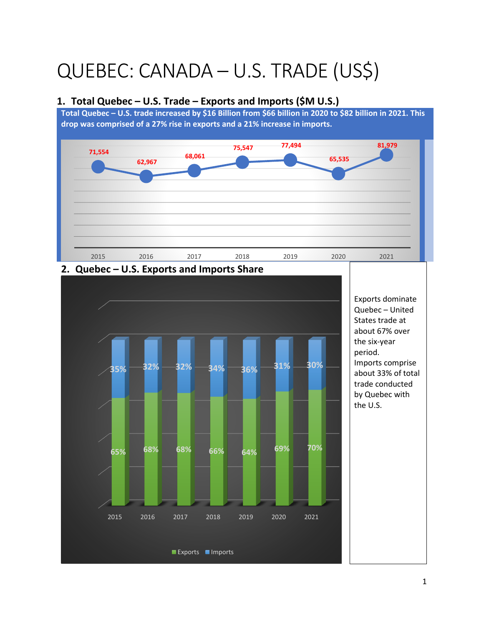# QUEBEC: CANADA – U.S. TRADE (US\$)

#### **1. Total Quebec – U.S. Trade – Exports and Imports (\$M U.S.)**

**Total Quebec – U.S. trade increased by \$16 Billion from \$66 billion in 2020 to \$82 billion in 2021. This drop was comprised of a 27% rise in exports and a 21% increase in imports.** 





#### **2. Quebec – U.S. Exports and Imports Share**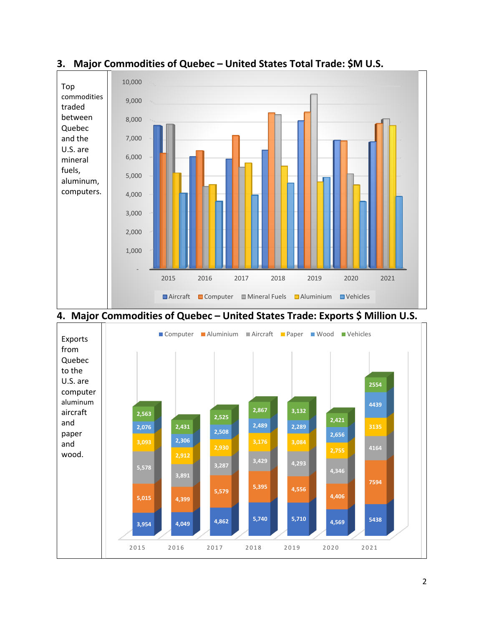

## **3. Major Commodities of Quebec – United States Total Trade: \$M U.S.**

## **4. Major Commodities of Quebec – United States Trade: Exports \$ Million U.S.**

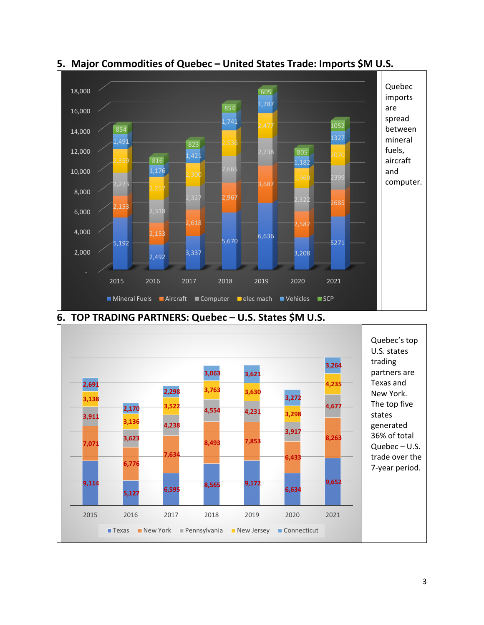

## **5. Major Commodities of Quebec – United States Trade: Imports \$M U.S.**



#### **6. TOP TRADING PARTNERS: Quebec – U.S. States \$M U.S.**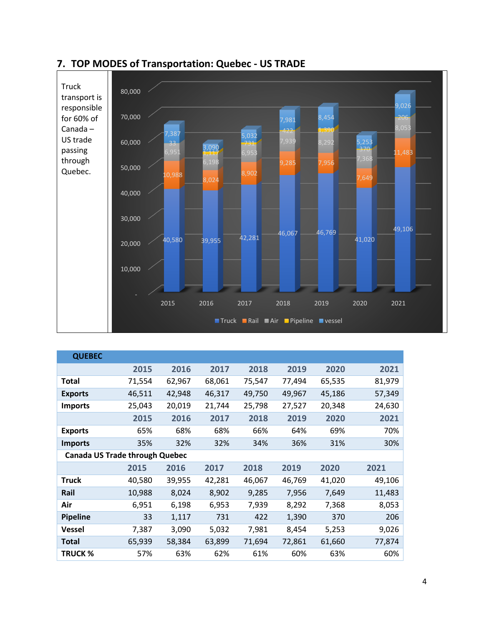

|  |  |  | 7. TOP MODES of Transportation: Quebec - US TRADE |
|--|--|--|---------------------------------------------------|
|--|--|--|---------------------------------------------------|

| <b>QUEBEC</b>                         |        |        |        |        |        |        |        |  |
|---------------------------------------|--------|--------|--------|--------|--------|--------|--------|--|
|                                       | 2015   | 2016   | 2017   | 2018   | 2019   | 2020   | 2021   |  |
| Total                                 | 71,554 | 62,967 | 68,061 | 75,547 | 77,494 | 65,535 | 81,979 |  |
| <b>Exports</b>                        | 46,511 | 42,948 | 46,317 | 49,750 | 49,967 | 45,186 | 57,349 |  |
| <b>Imports</b>                        | 25,043 | 20,019 | 21,744 | 25,798 | 27,527 | 20,348 | 24,630 |  |
|                                       | 2015   | 2016   | 2017   | 2018   | 2019   | 2020   | 2021   |  |
| <b>Exports</b>                        | 65%    | 68%    | 68%    | 66%    | 64%    | 69%    | 70%    |  |
| <b>Imports</b>                        | 35%    | 32%    | 32%    | 34%    | 36%    | 31%    | 30%    |  |
| <b>Canada US Trade through Quebec</b> |        |        |        |        |        |        |        |  |
|                                       |        |        |        |        |        |        |        |  |
|                                       | 2015   | 2016   | 2017   | 2018   | 2019   | 2020   | 2021   |  |
| <b>Truck</b>                          | 40,580 | 39,955 | 42,281 | 46,067 | 46,769 | 41,020 | 49,106 |  |
| Rail                                  | 10,988 | 8,024  | 8,902  | 9,285  | 7,956  | 7,649  | 11,483 |  |
| Air                                   | 6,951  | 6,198  | 6,953  | 7,939  | 8,292  | 7,368  | 8,053  |  |
| <b>Pipeline</b>                       | 33     | 1,117  | 731    | 422    | 1,390  | 370    | 206    |  |
| <b>Vessel</b>                         | 7,387  | 3,090  | 5,032  | 7,981  | 8,454  | 5,253  | 9,026  |  |
| <b>Total</b>                          | 65,939 | 58,384 | 63,899 | 71,694 | 72,861 | 61,660 | 77,874 |  |